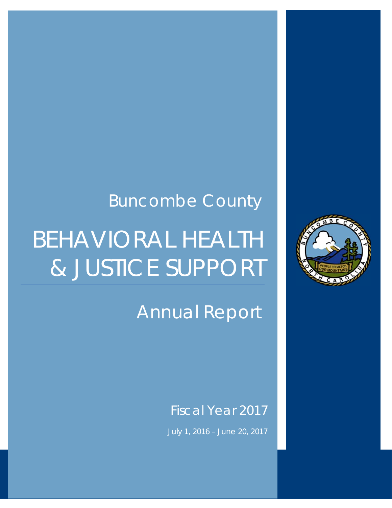# BEHAVIORAL HEALTH & JUSTICE SUPPORT Buncombe County

 **Annual Report – FY2017** 



# Annual Report

# Fiscal Year 2017

July 1, 2016 – June 20, 2017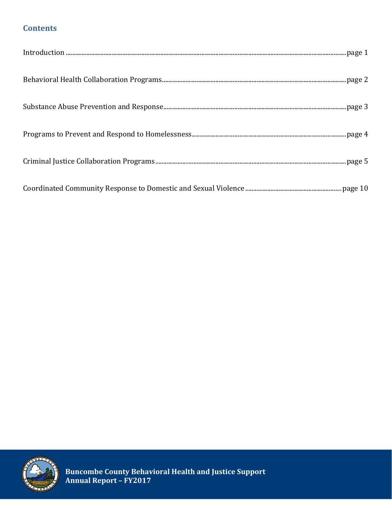# **Contents**

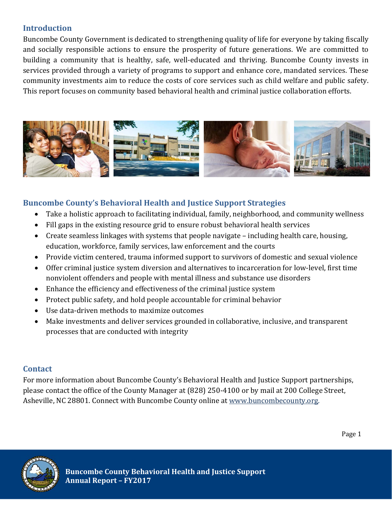# **Introduction**

Buncombe County Government is dedicated to strengthening quality of life for everyone by taking fiscally and socially responsible actions to ensure the prosperity of future generations. We are committed to building a community that is healthy, safe, well-educated and thriving. Buncombe County invests in services provided through a variety of programs to support and enhance core, mandated services. These community investments aim to reduce the costs of core services such as child welfare and public safety. This report focuses on community based behavioral health and criminal justice collaboration efforts.



# **Buncombe County's Behavioral Health and Justice Support Strategies**

- Take a holistic approach to facilitating individual, family, neighborhood, and community wellness
- Fill gaps in the existing resource grid to ensure robust behavioral health services
- Create seamless linkages with systems that people navigate  $-$  including health care, housing, education, workforce, family services, law enforcement and the courts
- Provide victim centered, trauma informed support to survivors of domestic and sexual violence
- Offer criminal justice system diversion and alternatives to incarceration for low-level, first time nonviolent offenders and people with mental illness and substance use disorders
- Enhance the efficiency and effectiveness of the criminal justice system
- Protect public safety, and hold people accountable for criminal behavior
- Use data-driven methods to maximize outcomes
- Make investments and deliver services grounded in collaborative, inclusive, and transparent processes that are conducted with integrity

# **Contact**

For more information about Buncombe County's Behavioral Health and Justice Support partnerships, please contact the office of the County Manager at (828) 250-4100 or by mail at 200 College Street, Asheville, NC 28801. Connect with Buncombe County online at www.buncombecounty.org.

Page 1

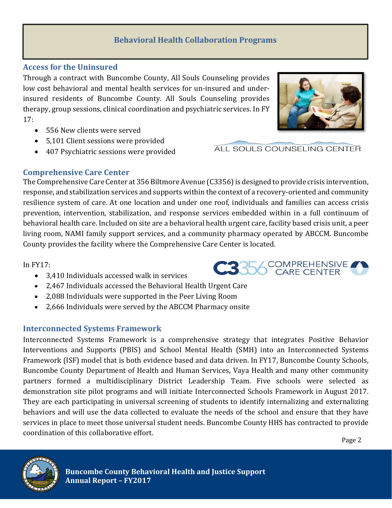# **Behavioral Health Collaboration Programs**

#### **Access for the Uninsured**

 $\overline{\phantom{a}}$ 

**Mental**

Through a contract with Buncombe County, All Souls Counseling provides low cost behavioral and mental health services for un-insured and underinsured residents of Buncombe County. All Souls Counseling provides therapy, group sessions, clinical coordination and psychiatric services. In FY 17: 

- 556 New clients were served
- 5,101 Client sessions were provided
- 407 Psychiatric sessions were provided

# **Comprehensive Care Center**

The Comprehensive Care Center at 356 Biltmore Avenue (C3356) is designed to provide crisis intervention, response, and stabilization services and supports within the context of a recovery-oriented and community resilience system of care. At one location and under one roof, individuals and families can access crisis prevention, intervention, stabilization, and response services embedded within in a full continuum of behavioral health care. Included on site are a behavioral health urgent care, facility based crisis unit, a peer living room, NAMI family support services, and a community pharmacy operated by ABCCM. Buncombe County provides the facility where the Comprehensive Care Center is located.

#### In  $FY17:$

- 3,410 Individuals accessed walk in services
- 2,467 Individuals accessed the Behavioral Health Urgent Care
- 2,088 Individuals were supported in the Peer Living Room
- 2,666 Individuals were served by the ABCCM Pharmacy onsite

# **Interconnected Systems Framework**

Interconnected Systems Framework is a comprehensive strategy that integrates Positive Behavior Interventions and Supports (PBIS) and School Mental Health (SMH) into an Interconnected Systems Framework (ISF) model that is both evidence based and data driven. In FY17, Buncombe County Schools, Buncombe County Department of Health and Human Services, Vaya Health and many other community partners formed a multidisciplinary District Leadership Team. Five schools were selected as demonstration site pilot programs and will initiate Interconnected Schools Framework in August 2017. They are each participating in universal screening of students to identify internalizing and externalizing behaviors and will use the data collected to evaluate the needs of the school and ensure that they have services in place to meet those universal student needs. Buncombe County HHS has contracted to provide coordination of this collaborative effort.

Page 2







ALL SOULS COUNSELING CENTER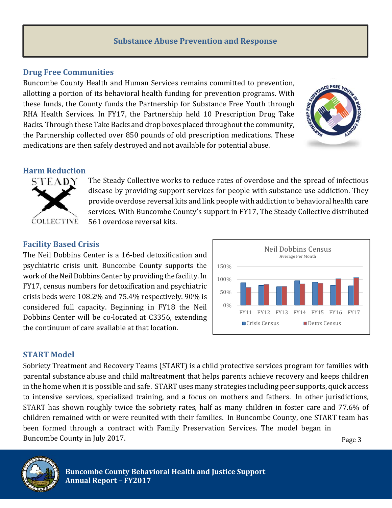#### **Substance Abuse Prevention and Response**

#### **Drug Free Communities**

Buncombe County Health and Human Services remains committed to prevention, allotting a portion of its behavioral health funding for prevention programs. With these funds, the County funds the Partnership for Substance Free Youth through RHA Health Services. In FY17, the Partnership held 10 Prescription Drug Take Backs. Through these Take Backs and drop boxes placed throughout the community, the Partnership collected over 850 pounds of old prescription medications. These medications are then safely destroyed and not available for potential abuse.



#### **Harm Reduction**



The Steady Collective works to reduce rates of overdose and the spread of infectious disease by providing support services for people with substance use addiction. They provide overdose reversal kits and link people with addiction to behavioral health care services. With Buncombe County's support in FY17, The Steady Collective distributed 561 overdose reversal kits.

#### **Facility Based Crisis**

The Neil Dobbins Center is a 16-bed detoxification and psychiatric crisis unit. Buncombe County supports the work of the Neil Dobbins Center by providing the facility. In FY17, census numbers for detoxification and psychiatric crisis beds were  $108.2\%$  and  $75.4\%$  respectively.  $90\%$  is considered full capacity. Beginning in FY18 the Neil Dobbins Center will be co-located at C3356, extending the continuum of care available at that location.



#### **START Model**

Sobriety Treatment and Recovery Teams (START) is a child protective services program for families with parental substance abuse and child maltreatment that helps parents achieve recovery and keeps children in the home when it is possible and safe. START uses many strategies including peer supports, quick access to intensive services, specialized training, and a focus on mothers and fathers. In other jurisdictions, START has shown roughly twice the sobriety rates, half as many children in foster care and 77.6% of children remained with or were reunited with their families. In Buncombe County, one START team has been formed through a contract with Family Preservation Services. The model began in Buncombe County in July 2017.



Page 3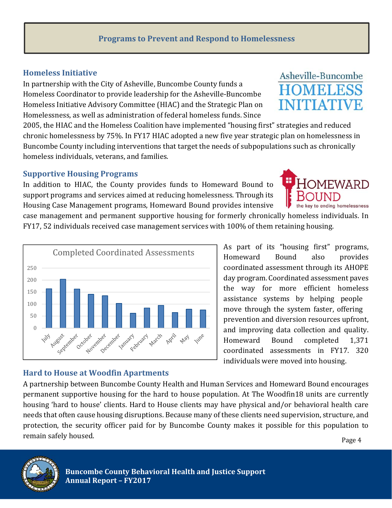# **Programs to Prevent and Respond to Homelessness**

# **Homeless Initiative**

In partnership with the City of Asheville, Buncombe County funds a Homeless Coordinator to provide leadership for the Asheville-Buncombe Homeless Initiative Advisory Committee (HIAC) and the Strategic Plan on Homelessness, as well as administration of federal homeless funds. Since

2005, the HIAC and the Homeless Coalition have implemented "housing first" strategies and reduced chronic homelessness by 75%. In FY17 HIAC adopted a new five year strategic plan on homelessness in Buncombe County including interventions that target the needs of subpopulations such as chronically homeless individuals, veterans, and families.

#### **Supportive Housing Programs**

In addition to HIAC, the County provides funds to Homeward Bound to support programs and services aimed at reducing homelessness. Through its Housing Case Management programs, Homeward Bound provides intensive

Completed Coordinated Assessments

case management and permanent supportive housing for formerly chronically homeless individuals. In FY17, 52 individuals received case management services with 100% of them retaining housing.



# **Hard to House at Woodfin Apartments**

Nover Dec let does

December

er namary February

March

April

September

A partnership between Buncombe County Health and Human Services and Homeward Bound encourages permanent supportive housing for the hard to house population. At The Woodfin18 units are currently housing 'hard to house' clients. Hard to House clients may have physical and/or behavioral health care needs that often cause housing disruptions. Because many of these clients need supervision, structure, and protection, the security officer paid for by Buncombe County makes it possible for this population to remain safely housed.

Iune



1414





Page 4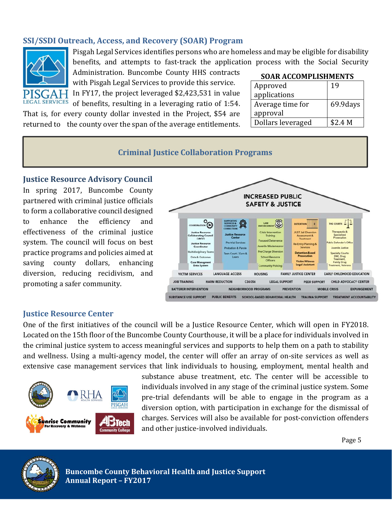# **SSI/SSDI Outreach, Access, and Recovery (SOAR) Program**



Pisgah Legal Services identifies persons who are homeless and may be eligible for disability benefits, and attempts to fast-track the application process with the Social Security

Administration. Buncombe County HHS contracts with Pisgah Legal Services to provide this service. In FY17, the project leveraged  $$2,423,531$  in value

LEGAL SERVICES of benefits, resulting in a leveraging ratio of 1:54.

That is, for every county dollar invested in the Project, \$54 are returned to the county over the span of the average entitlements.

#### **SOAR ACCOMPLISHMENTS**

| Approved          | 19        |
|-------------------|-----------|
| applications      |           |
| Average time for  | 69.9 days |
| approval          |           |
| Dollars leveraged | \$2.4 M   |

#### **Criminal Justice Collaboration Programs**

#### **Justice Resource Advisory Council**

In spring 2017, Buncombe County partnered with criminal justice officials to form a collaborative council designed to enhance the efficiency and effectiveness of the criminal justice system. The council will focus on best practice programs and policies aimed at saving county dollars, enhancing diversion, reducing recidivism, and promoting a safer community.



#### **Justice Resource Center**

One of the first initiatives of the council will be a Justice Resource Center, which will open in FY2018. Located on the 15th floor of the Buncombe County Courthouse, it will be a place for individuals involved in the criminal justice system to access meaningful services and supports to help them on a path to stability and wellness. Using a multi-agency model, the center will offer an array of on-site services as well as extensive case management services that link individuals to housing, employment, mental health and



substance abuse treatment, etc. The center will be accessible to individuals involved in any stage of the criminal justice system. Some pre-trial defendants will be able to engage in the program as a diversion option, with participation in exchange for the dismissal of charges. Services will also be available for post-conviction offenders and other justice-involved individuals.

Page 5



 **Buncombe County Behavioral Health and Justice Support** *Annual Report – FY2017*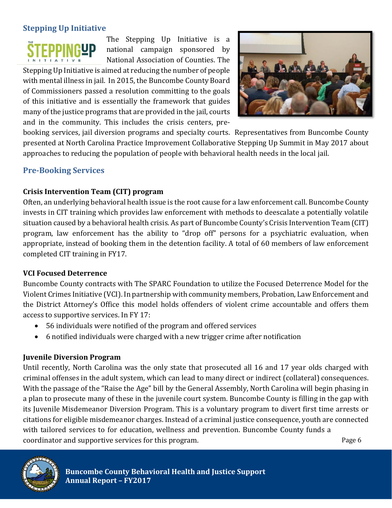# **Stepping Up Initiative**



The Stepping Up Initiative is a national campaign sponsored by National Association of Counties. The

Stepping Up Initiative is aimed at reducing the number of people with mental illness in jail. In 2015, the Buncombe County Board of Commissioners passed a resolution committing to the goals of this initiative and is essentially the framework that guides many of the justice programs that are provided in the jail, courts and in the community. This includes the crisis centers, pre-



booking services, jail diversion programs and specialty courts. Representatives from Buncombe County presented at North Carolina Practice Improvement Collaborative Stepping Up Summit in May 2017 about approaches to reducing the population of people with behavioral health needs in the local jail.

#### **Pre‐Booking Services**

#### **Crisis Intervention Team (CIT) program**

Often, an underlying behavioral health issue is the root cause for a law enforcement call. Buncombe County invests in CIT training which provides law enforcement with methods to deescalate a potentially volatile situation caused by a behavioral health crisis. As part of Buncombe County's Crisis Intervention Team (CIT) program, law enforcement has the ability to "drop off" persons for a psychiatric evaluation, when appropriate, instead of booking them in the detention facility. A total of 60 members of law enforcement completed CIT training in FY17.

#### **VCI Focused Deterrence**

Buncombe County contracts with The SPARC Foundation to utilize the Focused Deterrence Model for the Violent Crimes Initiative (VCI). In partnership with community members, Probation, Law Enforcement and the District Attorney's Office this model holds offenders of violent crime accountable and offers them access to supportive services. In FY 17:

- 56 individuals were notified of the program and offered services
- 6 notified individuals were charged with a new trigger crime after notification

#### **Juvenile Diversion Program**

Until recently, North Carolina was the only state that prosecuted all 16 and 17 year olds charged with criminal offenses in the adult system, which can lead to many direct or indirect (collateral) consequences. With the passage of the "Raise the Age" bill by the General Assembly, North Carolina will begin phasing in a plan to prosecute many of these in the juvenile court system. Buncombe County is filling in the gap with its Juvenile Misdemeanor Diversion Program. This is a voluntary program to divert first time arrests or citations for eligible misdemeanor charges. Instead of a criminal justice consequence, youth are connected with tailored services to for education, wellness and prevention. Buncombe County funds a coordinator and supportive services for this program. The coordination and supportive services for this program.

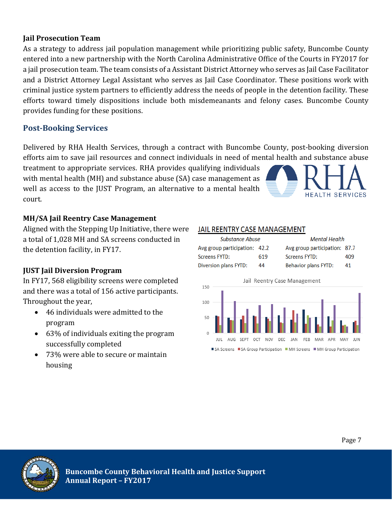#### **Jail Prosecution Team**

As a strategy to address jail population management while prioritizing public safety, Buncombe County entered into a new partnership with the North Carolina Administrative Office of the Courts in FY2017 for a jail prosecution team. The team consists of a Assistant District Attorney who serves as Jail Case Facilitator and a District Attorney Legal Assistant who serves as Jail Case Coordinator. These positions work with criminal justice system partners to efficiently address the needs of people in the detention facility. These efforts toward timely dispositions include both misdemeanants and felony cases. Buncombe County provides funding for these positions.

# **Post‐Booking Services**

Delivered by RHA Health Services, through a contract with Buncombe County, post-booking diversion efforts aim to save jail resources and connect individuals in need of mental health and substance abuse

treatment to appropriate services. RHA provides qualifying individuals with mental health (MH) and substance abuse (SA) case management as well as access to the JUST Program, an alternative to a mental health court. 



Aligned with the Stepping Up Initiative, there were a total of 1,028 MH and SA screens conducted in the detention facility, in FY17.

# **JUST Jail Diversion Program**

In FY17, 568 eligibility screens were completed and there was a total of 156 active participants. Throughout the year,

- $\bullet$  46 individuals were admitted to the program
- 63% of individuals exiting the program successfully completed
- 73% were able to secure or maintain housing

#### JAIL REENTRY CASE MANAGEMENT

| Substance Abuse               |     | <b>Mental Health</b>          |     |  |
|-------------------------------|-----|-------------------------------|-----|--|
| Avg group participation: 42.2 |     | Avg group participation: 87.7 |     |  |
| Screens FYTD:                 | 619 | Screens FYTD:                 | 409 |  |
| Diversion plans FYTD:         | 44  | <b>Behavior plans FYTD:</b>   | 41  |  |





**HEALTH SERVICES**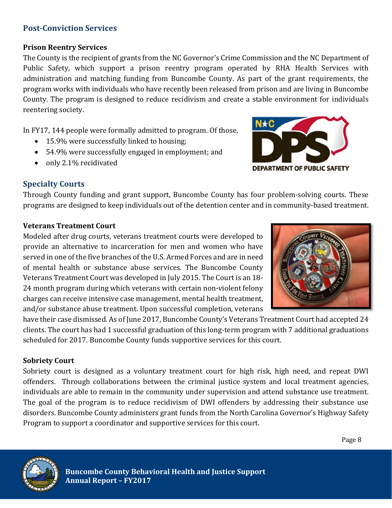# **Post-Conviction Services**

#### **Prison Reentry Services**

The County is the recipient of grants from the NC Governor's Crime Commission and the NC Department of Public Safety, which support a prison reentry program operated by RHA Health Services with administration and matching funding from Buncombe County. As part of the grant requirements, the program works with individuals who have recently been released from prison and are living in Buncombe County. The program is designed to reduce recidivism and create a stable environment for individuals reentering society.

In FY17, 144 people were formally admitted to program. Of those,

- 15.9% were successfully linked to housing;
- 54.9% were successfully engaged in employment; and
- only 2.1% recidivated



# **Specialty Courts**

Through County funding and grant support, Buncombe County has four problem-solving courts. These programs are designed to keep individuals out of the detention center and in community-based treatment.

#### **Veterans Treatment Court**

Modeled after drug courts, veterans treatment courts were developed to provide an alternative to incarceration for men and women who have served in one of the five branches of the U.S. Armed Forces and are in need of mental health or substance abuse services. The Buncombe County Veterans Treatment Court was developed in July 2015. The Court is an 18-24 month program during which veterans with certain non-violent felony charges can receive intensive case management, mental health treatment, and/or substance abuse treatment. Upon successful completion, veterans



have their case dismissed. As of June 2017, Buncombe County's Veterans Treatment Court had accepted 24 clients. The court has had 1 successful graduation of this long-term program with 7 additional graduations scheduled for 2017. Buncombe County funds supportive services for this court.

# **Sobriety Court**

Sobriety court is designed as a voluntary treatment court for high risk, high need, and repeat DWI offenders. Through collaborations between the criminal justice system and local treatment agencies, individuals are able to remain in the community under supervision and attend substance use treatment. The goal of the program is to reduce recidivism of DWI offenders by addressing their substance use disorders. Buncombe County administers grant funds from the North Carolina Governor's Highway Safety Program to support a coordinator and supportive services for this court.

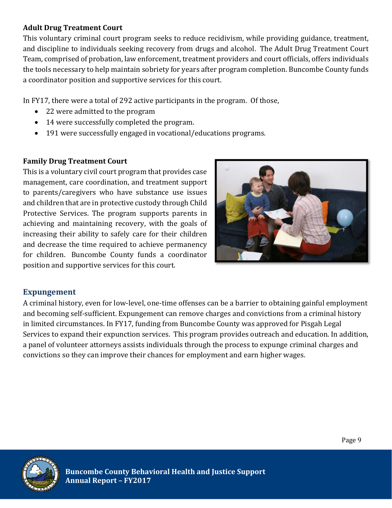#### **Adult Drug Treatment Court**

This voluntary criminal court program seeks to reduce recidivism, while providing guidance, treatment, and discipline to individuals seeking recovery from drugs and alcohol. The Adult Drug Treatment Court Team, comprised of probation, law enforcement, treatment providers and court officials, offers individuals the tools necessary to help maintain sobriety for years after program completion. Buncombe County funds a coordinator position and supportive services for this court.

In FY17, there were a total of 292 active participants in the program. Of those,

- 22 were admitted to the program
- 14 were successfully completed the program.
- 191 were successfully engaged in vocational/educations programs.

#### **Family Drug Treatment Court**

This is a voluntary civil court program that provides case management, care coordination, and treatment support to parents/caregivers who have substance use issues and children that are in protective custody through Child Protective Services. The program supports parents in achieving and maintaining recovery, with the goals of increasing their ability to safely care for their children and decrease the time required to achieve permanency for children. Buncombe County funds a coordinator position and supportive services for this court.



# **Expungement**

A criminal history, even for low-level, one-time offenses can be a barrier to obtaining gainful employment and becoming self-sufficient. Expungement can remove charges and convictions from a criminal history in limited circumstances. In FY17, funding from Buncombe County was approved for Pisgah Legal Services to expand their expunction services. This program provides outreach and education. In addition, a panel of volunteer attorneys assists individuals through the process to expunge criminal charges and convictions so they can improve their chances for employment and earn higher wages.

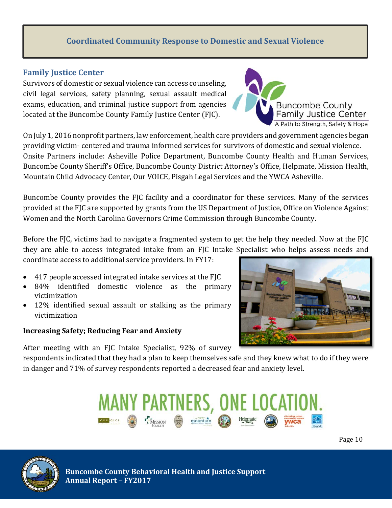#### **Coordinated Community Response to Domestic and Sexual Violence**

#### **Family Justice** Center

Survivors of domestic or sexual violence can access counseling, civil legal services, safety planning, sexual assault medical exams, education, and criminal justice support from agencies located at the Buncombe County Family Justice Center (FJC).

On July 1, 2016 nonprofit partners, law enforcement, health care providers and government agencies began providing victim- centered and trauma informed services for survivors of domestic and sexual violence. Onsite Partners include: Asheville Police Department, Buncombe County Health and Human Services, Buncombe County Sheriff's Office, Buncombe County District Attorney's Office, Helpmate, Mission Health, Mountain Child Advocacy Center, Our VOICE, Pisgah Legal Services and the YWCA Asheville.

Buncombe County provides the FJC facility and a coordinator for these services. Many of the services provided at the FJC are supported by grants from the US Department of Justice, Office on Violence Against Women and the North Carolina Governors Crime Commission through Buncombe County.

Before the  $F/C$ , victims had to navigate a fragmented system to get the help they needed. Now at the  $F/C$ they are able to access integrated intake from an FJC Intake Specialist who helps assess needs and coordinate access to additional service providers. In FY17:

- 417 people accessed integrated intake services at the FIC
- 84% identified domestic violence as the primary victimization
- 12% identified sexual assault or stalking as the primary victimization

#### **Increasing Safety; Reducing Fear and Anxiety**

After meeting with an FJC Intake Specialist, 92% of survey

respondents indicated that they had a plan to keep themselves safe and they knew what to do if they were in danger and  $71\%$  of survey respondents reported a decreased fear and anxiety level.

**MANY PARTNERS, ONE LOCAT** 

mountair







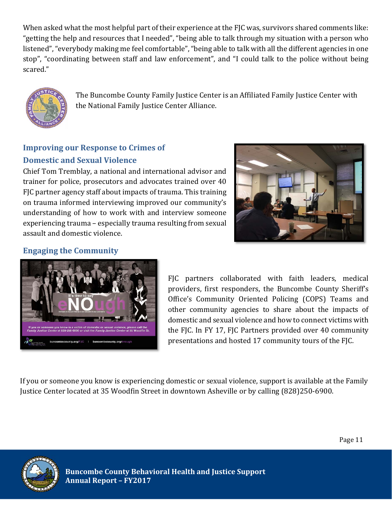When asked what the most helpful part of their experience at the FJC was, survivors shared comments like: "getting the help and resources that I needed", "being able to talk through my situation with a person who listened", "everybody making me feel comfortable", "being able to talk with all the different agencies in one stop", "coordinating between staff and law enforcement", and "I could talk to the police without being scared." 



The Buncombe County Family Justice Center is an Affiliated Family Justice Center with the National Family Justice Center Alliance.

# **Improving our Response to Crimes of Domestic and Sexual Violence**

Chief Tom Tremblay, a national and international advisor and trainer for police, prosecutors and advocates trained over 40 FJC partner agency staff about impacts of trauma. This training on trauma informed interviewing improved our community's understanding of how to work with and interview someone experiencing trauma – especially trauma resulting from sexual assault and domestic violence.



# **Engaging the Community**



FJC partners collaborated with faith leaders, medical providers, first responders, the Buncombe County Sheriff's Office's Community Oriented Policing (COPS) Teams and other community agencies to share about the impacts of domestic and sexual violence and how to connect victims with the FJC. In FY 17, FJC Partners provided over 40 community presentations and hosted 17 community tours of the FJC.

If you or someone you know is experiencing domestic or sexual violence, support is available at the Family Justice Center located at 35 Woodfin Street in downtown Asheville or by calling (828)250-6900.